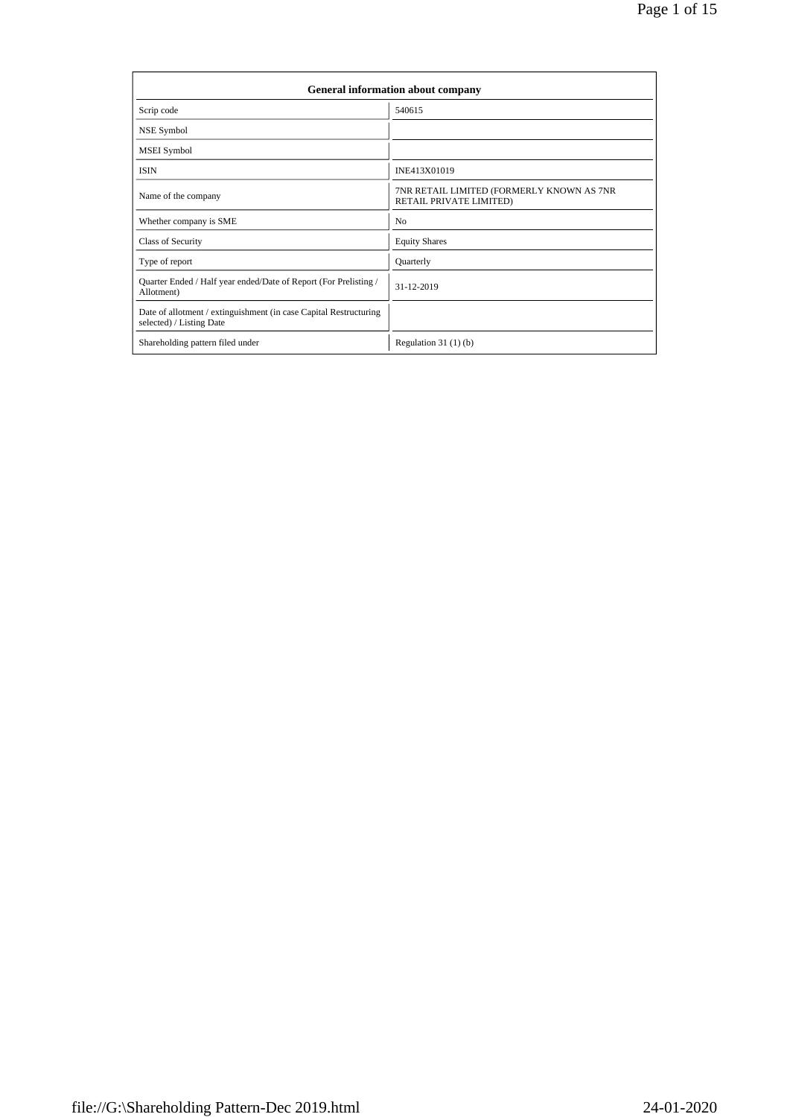|                                                                                               | <b>General information about company</b>                             |
|-----------------------------------------------------------------------------------------------|----------------------------------------------------------------------|
| Scrip code                                                                                    | 540615                                                               |
| NSE Symbol                                                                                    |                                                                      |
| <b>MSEI</b> Symbol                                                                            |                                                                      |
| <b>ISIN</b>                                                                                   | INE413X01019                                                         |
| Name of the company                                                                           | 7NR RETAIL LIMITED (FORMERLY KNOWN AS 7NR<br>RETAIL PRIVATE LIMITED) |
| Whether company is SME                                                                        | N <sub>0</sub>                                                       |
| Class of Security                                                                             | <b>Equity Shares</b>                                                 |
| Type of report                                                                                | Quarterly                                                            |
| Quarter Ended / Half year ended/Date of Report (For Prelisting /<br>Allotment)                | 31-12-2019                                                           |
| Date of allotment / extinguishment (in case Capital Restructuring<br>selected) / Listing Date |                                                                      |
| Shareholding pattern filed under                                                              | Regulation $31(1)(b)$                                                |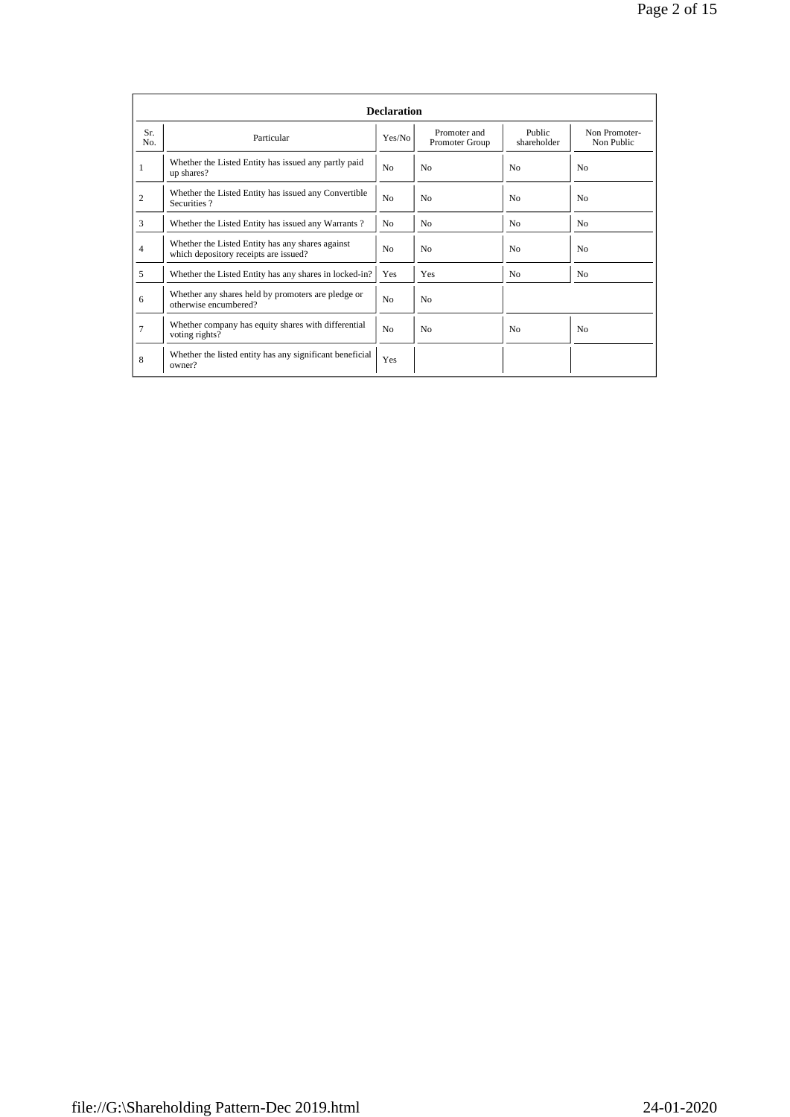|                |                                                                                           | <b>Declaration</b> |                                |                       |                             |
|----------------|-------------------------------------------------------------------------------------------|--------------------|--------------------------------|-----------------------|-----------------------------|
| Sr.<br>No.     | Particular                                                                                | Yes/No             | Promoter and<br>Promoter Group | Public<br>shareholder | Non Promoter-<br>Non Public |
| 1              | Whether the Listed Entity has issued any partly paid<br>up shares?                        | N <sub>0</sub>     | No                             | N <sub>0</sub>        | N <sub>0</sub>              |
| $\overline{c}$ | Whether the Listed Entity has issued any Convertible<br>Securities?                       | N <sub>0</sub>     | No                             | N <sub>0</sub>        | N <sub>0</sub>              |
| 3              | Whether the Listed Entity has issued any Warrants?                                        | N <sub>0</sub>     | N <sub>0</sub>                 | N <sub>0</sub>        | N <sub>0</sub>              |
| 4              | Whether the Listed Entity has any shares against<br>which depository receipts are issued? | N <sub>0</sub>     | No                             | N <sub>0</sub>        | N <sub>0</sub>              |
| 5              | Whether the Listed Entity has any shares in locked-in?                                    | Yes                | Yes                            | N <sub>0</sub>        | No.                         |
| 6              | Whether any shares held by promoters are pledge or<br>otherwise encumbered?               | N <sub>0</sub>     | N <sub>0</sub>                 |                       |                             |
| $\overline{7}$ | Whether company has equity shares with differential<br>voting rights?                     | N <sub>0</sub>     | N <sub>0</sub>                 | N <sub>0</sub>        | N <sub>0</sub>              |
| 8              | Whether the listed entity has any significant beneficial<br>owner?                        | Yes                |                                |                       |                             |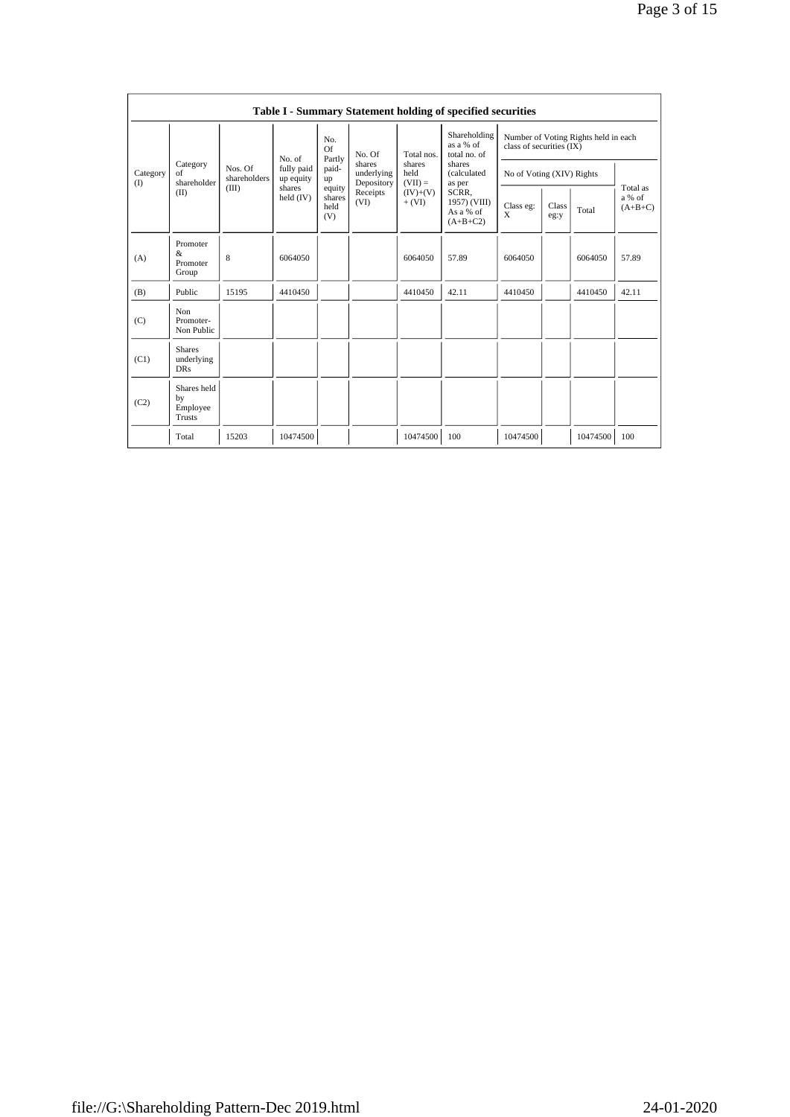|                 |                                           |                         |                         |                                 |                                    |                                                                | Table I - Summary Statement holding of specified securities |                          |               |                                      |                                 |
|-----------------|-------------------------------------------|-------------------------|-------------------------|---------------------------------|------------------------------------|----------------------------------------------------------------|-------------------------------------------------------------|--------------------------|---------------|--------------------------------------|---------------------------------|
|                 |                                           |                         | No. of                  | No.<br><b>Of</b><br>Partly      | No. Of                             | Total nos.                                                     | Shareholding<br>as a % of<br>total no. of                   | class of securities (IX) |               | Number of Voting Rights held in each |                                 |
| Category<br>(1) | Category<br>of<br>shareholder             | Nos. Of<br>shareholders | fully paid<br>up equity | paid-<br>up                     | shares<br>underlying<br>Depository | shares<br>shares<br>held<br>(calculated<br>$(VII) =$<br>as per | No of Voting (XIV) Rights                                   |                          |               |                                      |                                 |
|                 | (II)                                      | (III)                   | shares<br>held $(IV)$   | equity<br>shares<br>held<br>(V) | Receipts<br>(VI)                   | $(IV)+(V)$<br>$+ (VI)$                                         | SCRR.<br>1957) (VIII)<br>As a % of<br>$(A+B+C2)$            | Class eg:<br>X           | Class<br>eg:y | Total                                | Total as<br>a % of<br>$(A+B+C)$ |
| (A)             | Promoter<br>&<br>Promoter<br>Group        | 8                       | 6064050                 |                                 |                                    | 6064050                                                        | 57.89                                                       | 6064050                  |               | 6064050                              | 57.89                           |
| (B)             | Public                                    | 15195                   | 4410450                 |                                 |                                    | 4410450                                                        | 42.11                                                       | 4410450                  |               | 4410450                              | 42.11                           |
| (C)             | Non<br>Promoter-<br>Non Public            |                         |                         |                                 |                                    |                                                                |                                                             |                          |               |                                      |                                 |
| (C1)            | <b>Shares</b><br>underlying<br><b>DRs</b> |                         |                         |                                 |                                    |                                                                |                                                             |                          |               |                                      |                                 |
| (C2)            | Shares held<br>by<br>Employee<br>Trusts   |                         |                         |                                 |                                    |                                                                |                                                             |                          |               |                                      |                                 |
|                 | Total                                     | 15203                   | 10474500                |                                 |                                    | 10474500                                                       | 100                                                         | 10474500                 |               | 10474500                             | 100                             |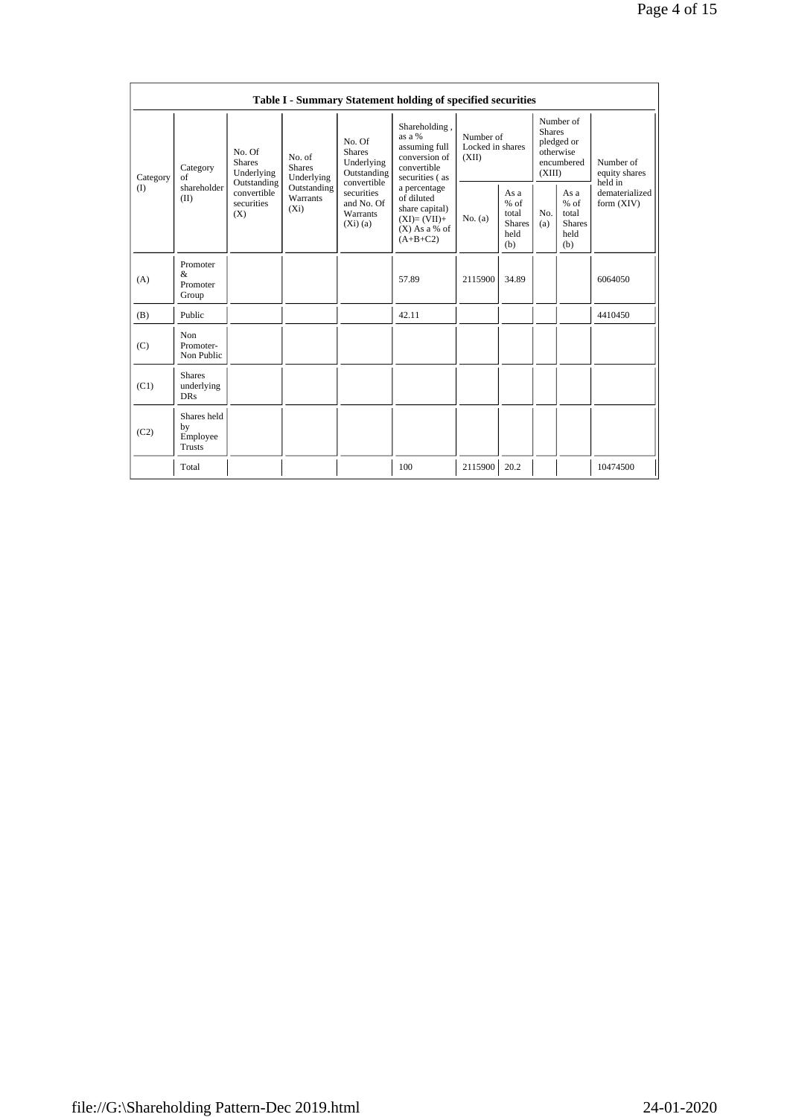|          |                                           |                                                                                                                                                                                                 |                                                                                                             |                                                                                                | Table I - Summary Statement holding of specified securities                   |                                                         |                            |                                                         |                                           |          |
|----------|-------------------------------------------|-------------------------------------------------------------------------------------------------------------------------------------------------------------------------------------------------|-------------------------------------------------------------------------------------------------------------|------------------------------------------------------------------------------------------------|-------------------------------------------------------------------------------|---------------------------------------------------------|----------------------------|---------------------------------------------------------|-------------------------------------------|----------|
| Category | Category<br>of                            | as $a\%$<br>No. Of<br><b>Shares</b><br>No. Of<br>No. of<br><b>Shares</b><br>Underlying<br><b>Shares</b><br>convertible<br>Underlying<br>Outstanding<br>Underlying<br>convertible<br>Outstanding | Shareholding,<br>Number of<br>Locked in shares<br>assuming full<br>conversion of<br>(XII)<br>securities (as |                                                                                                | Number of<br><b>Shares</b><br>pledged or<br>otherwise<br>encumbered<br>(XIII) |                                                         | Number of<br>equity shares |                                                         |                                           |          |
| (        | shareholder<br>(II)                       | convertible<br>securities<br>(X)                                                                                                                                                                | Outstanding<br>securities<br><b>Warrants</b><br>and No. Of<br>$(X_i)$<br>Warrants<br>(Xi)(a)                | a percentage<br>of diluted<br>share capital)<br>$(XI)=(VII)+$<br>$(X)$ As a % of<br>$(A+B+C2)$ | No. (a)                                                                       | As a<br>$%$ of<br>total<br><b>Shares</b><br>held<br>(b) | No.<br>(a)                 | As a<br>$%$ of<br>total<br><b>Shares</b><br>held<br>(b) | held in<br>dematerialized<br>form $(XIV)$ |          |
| (A)      | Promoter<br>&<br>Promoter<br>Group        |                                                                                                                                                                                                 |                                                                                                             |                                                                                                | 57.89                                                                         | 2115900                                                 | 34.89                      |                                                         |                                           | 6064050  |
| (B)      | Public                                    |                                                                                                                                                                                                 |                                                                                                             |                                                                                                | 42.11                                                                         |                                                         |                            |                                                         |                                           | 4410450  |
| (C)      | Non<br>Promoter-<br>Non Public            |                                                                                                                                                                                                 |                                                                                                             |                                                                                                |                                                                               |                                                         |                            |                                                         |                                           |          |
| (C1)     | <b>Shares</b><br>underlying<br><b>DRs</b> |                                                                                                                                                                                                 |                                                                                                             |                                                                                                |                                                                               |                                                         |                            |                                                         |                                           |          |
| (C2)     | Shares held<br>by<br>Employee<br>Trusts   |                                                                                                                                                                                                 |                                                                                                             |                                                                                                |                                                                               |                                                         |                            |                                                         |                                           |          |
|          | Total                                     |                                                                                                                                                                                                 |                                                                                                             |                                                                                                | 100                                                                           | 2115900                                                 | 20.2                       |                                                         |                                           | 10474500 |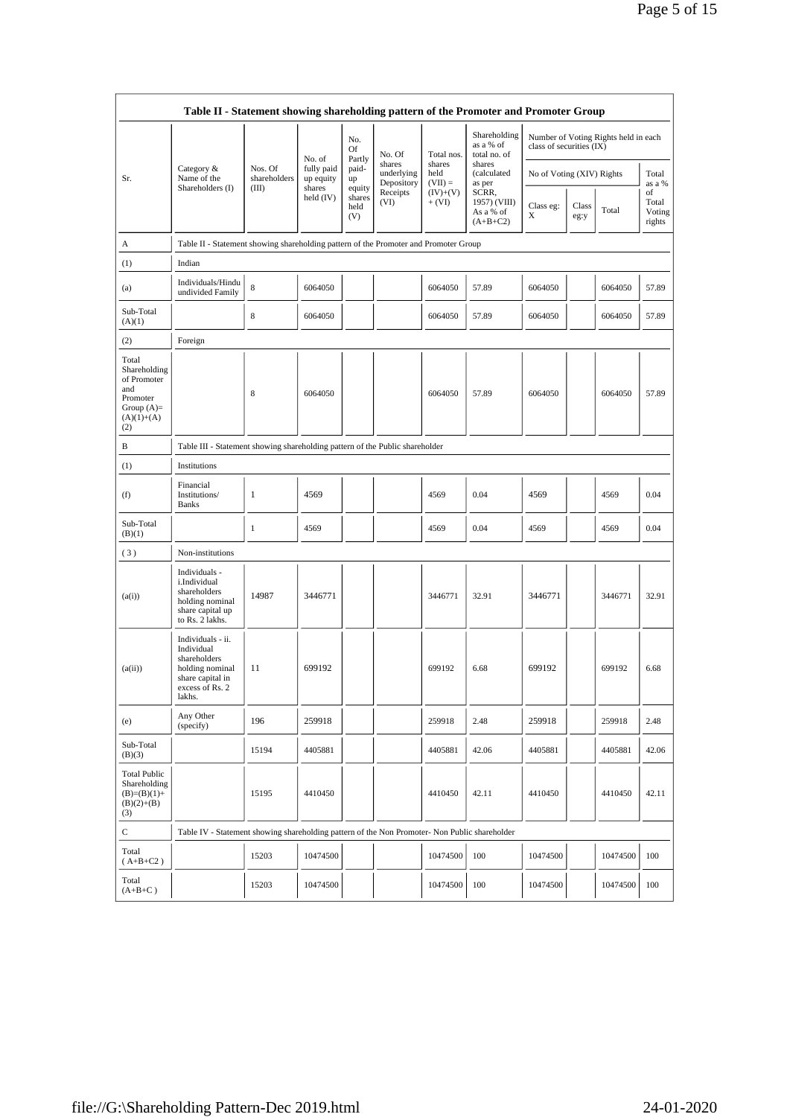|                                                                                                | Table II - Statement showing shareholding pattern of the Promoter and Promoter Group                                |                         |                                   |                                 |                                    |                             |                                                  |                           |               |                                      |                                 |
|------------------------------------------------------------------------------------------------|---------------------------------------------------------------------------------------------------------------------|-------------------------|-----------------------------------|---------------------------------|------------------------------------|-----------------------------|--------------------------------------------------|---------------------------|---------------|--------------------------------------|---------------------------------|
|                                                                                                |                                                                                                                     |                         |                                   | No.<br>Of                       | No. Of                             | Total nos.                  | Shareholding<br>as a % of<br>total no. of        | class of securities (IX)  |               | Number of Voting Rights held in each |                                 |
| Sr.                                                                                            | Category &<br>Name of the<br>Shareholders (I)                                                                       | Nos. Of<br>shareholders | No. of<br>fully paid<br>up equity | Partly<br>paid-<br>up           | shares<br>underlying<br>Depository | shares<br>held<br>$(VII) =$ | shares<br>(calculated<br>as per                  | No of Voting (XIV) Rights |               |                                      | Total<br>as a %                 |
|                                                                                                |                                                                                                                     | (III)                   | shares<br>held (IV)               | equity<br>shares<br>held<br>(V) | Receipts<br>(VI)                   | $(IV)+(V)$<br>$+ (VI)$      | SCRR,<br>1957) (VIII)<br>As a % of<br>$(A+B+C2)$ | Class eg:<br>X            | Class<br>eg:y | Total                                | of<br>Total<br>Voting<br>rights |
| А                                                                                              | Table II - Statement showing shareholding pattern of the Promoter and Promoter Group                                |                         |                                   |                                 |                                    |                             |                                                  |                           |               |                                      |                                 |
| (1)                                                                                            | Indian                                                                                                              |                         |                                   |                                 |                                    |                             |                                                  |                           |               |                                      |                                 |
| (a)                                                                                            | Individuals/Hindu<br>undivided Family                                                                               | 8                       | 6064050                           |                                 |                                    | 6064050                     | 57.89                                            | 6064050                   |               | 6064050                              | 57.89                           |
| Sub-Total<br>(A)(1)                                                                            |                                                                                                                     | 8                       | 6064050                           |                                 |                                    | 6064050                     | 57.89                                            | 6064050                   |               | 6064050                              | 57.89                           |
| (2)                                                                                            | Foreign                                                                                                             |                         |                                   |                                 |                                    |                             |                                                  |                           |               |                                      |                                 |
| Total<br>Shareholding<br>of Promoter<br>and<br>Promoter<br>Group $(A)=$<br>$(A)(1)+(A)$<br>(2) |                                                                                                                     | 8                       | 6064050                           |                                 |                                    | 6064050                     | 57.89                                            | 6064050                   |               | 6064050                              | 57.89                           |
| В                                                                                              | Table III - Statement showing shareholding pattern of the Public shareholder                                        |                         |                                   |                                 |                                    |                             |                                                  |                           |               |                                      |                                 |
| (1)                                                                                            | Institutions                                                                                                        |                         |                                   |                                 |                                    |                             |                                                  |                           |               |                                      |                                 |
| (f)                                                                                            | Financial<br>Institutions/<br><b>Banks</b>                                                                          | 1                       | 4569                              |                                 |                                    | 4569                        | 0.04                                             | 4569                      |               | 4569                                 | 0.04                            |
| Sub-Total<br>(B)(1)                                                                            |                                                                                                                     | $\mathbf{1}$            | 4569                              |                                 |                                    | 4569                        | 0.04                                             | 4569                      |               | 4569                                 | 0.04                            |
| (3)                                                                                            | Non-institutions                                                                                                    |                         |                                   |                                 |                                    |                             |                                                  |                           |               |                                      |                                 |
| (a(i))                                                                                         | Individuals -<br>i.Individual<br>shareholders<br>holding nominal<br>share capital up<br>to Rs. 2 lakhs.             | 14987                   | 3446771                           |                                 |                                    | 3446771                     | 32.91                                            | 3446771                   |               | 3446771                              | 32.91                           |
| (a(ii))                                                                                        | Individuals - ii.<br>Individual<br>shareholders<br>holding nominal<br>share capital in<br>excess of Rs. 2<br>lakhs. | 11                      | 699192                            |                                 |                                    | 699192                      | 6.68                                             | 699192                    |               | 699192                               | 6.68                            |
| (e)                                                                                            | Any Other<br>(specify)                                                                                              | 196                     | 259918                            |                                 |                                    | 259918                      | 2.48                                             | 259918                    |               | 259918                               | 2.48                            |
| Sub-Total<br>(B)(3)                                                                            |                                                                                                                     | 15194                   | 4405881                           |                                 |                                    | 4405881                     | 42.06                                            | 4405881                   |               | 4405881                              | 42.06                           |
| <b>Total Public</b><br>Shareholding<br>$(B)=(B)(1)+$<br>$(B)(2)+(B)$<br>(3)                    |                                                                                                                     | 15195                   | 4410450                           |                                 |                                    | 4410450                     | 42.11                                            | 4410450                   |               | 4410450                              | 42.11                           |
| $\mathbf C$                                                                                    | Table IV - Statement showing shareholding pattern of the Non Promoter- Non Public shareholder                       |                         |                                   |                                 |                                    |                             |                                                  |                           |               |                                      |                                 |
| Total<br>$(A+B+C2)$                                                                            |                                                                                                                     | 15203                   | 10474500                          |                                 |                                    | 10474500                    | 100                                              | 10474500                  |               | 10474500                             | 100                             |
| Total<br>$(A+B+C)$                                                                             |                                                                                                                     | 15203                   | 10474500                          |                                 |                                    | 10474500                    | 100                                              | 10474500                  |               | 10474500                             | 100                             |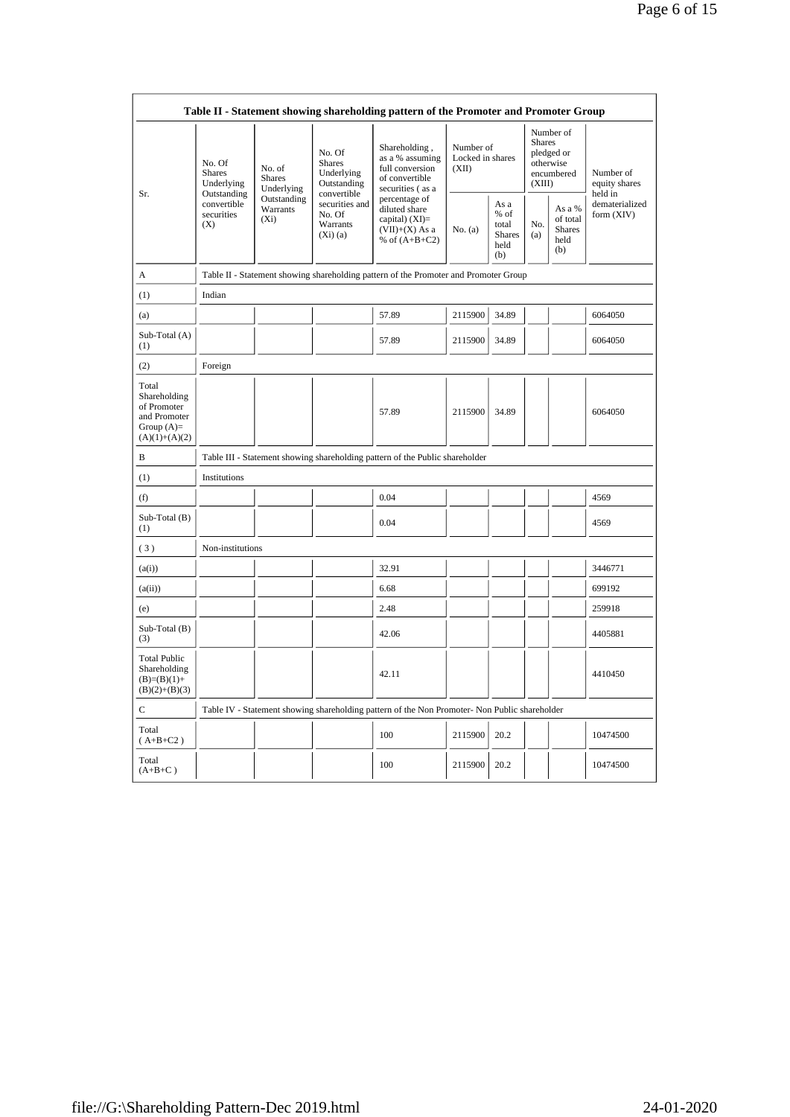|                                                                                         |                                                                                                                                            |             |                                                                     | Table II - Statement showing shareholding pattern of the Promoter and Promoter Group          |                                        |                                                       |                         |                                                    |                                                                       |
|-----------------------------------------------------------------------------------------|--------------------------------------------------------------------------------------------------------------------------------------------|-------------|---------------------------------------------------------------------|-----------------------------------------------------------------------------------------------|----------------------------------------|-------------------------------------------------------|-------------------------|----------------------------------------------------|-----------------------------------------------------------------------|
| Sr.                                                                                     | No. Of<br>No. of<br><b>Shares</b><br><b>Shares</b><br>Underlying<br>Outstanding<br>convertible<br>Warrants<br>securities<br>$(X_i)$<br>(X) | Underlying  | No. Of<br><b>Shares</b><br>Underlying<br>Outstanding<br>convertible | Shareholding,<br>as a % assuming<br>full conversion<br>of convertible<br>securities (as a     | Number of<br>Locked in shares<br>(XII) |                                                       | <b>Shares</b><br>(XIII) | Number of<br>pledged or<br>otherwise<br>encumbered | Number of<br>equity shares<br>held in<br>dematerialized<br>form (XIV) |
|                                                                                         |                                                                                                                                            | Outstanding | securities and<br>No. Of<br>Warrants<br>$(Xi)$ (a)                  | percentage of<br>diluted share<br>capital) $(XI)=$<br>$(VII)+(X)$ As a<br>% of $(A+B+C2)$     | No. (a)                                | As a<br>% of<br>total<br><b>Shares</b><br>held<br>(b) | No.<br>(a)              | As a %<br>of total<br><b>Shares</b><br>held<br>(b) |                                                                       |
| А                                                                                       |                                                                                                                                            |             |                                                                     | Table II - Statement showing shareholding pattern of the Promoter and Promoter Group          |                                        |                                                       |                         |                                                    |                                                                       |
| (1)                                                                                     | Indian                                                                                                                                     |             |                                                                     |                                                                                               |                                        |                                                       |                         |                                                    |                                                                       |
| (a)                                                                                     |                                                                                                                                            |             |                                                                     | 57.89                                                                                         | 2115900                                | 34.89                                                 |                         |                                                    | 6064050                                                               |
| Sub-Total (A)<br>(1)                                                                    |                                                                                                                                            |             |                                                                     | 57.89                                                                                         | 2115900                                | 34.89                                                 |                         |                                                    | 6064050                                                               |
| (2)                                                                                     | Foreign                                                                                                                                    |             |                                                                     |                                                                                               |                                        |                                                       |                         |                                                    |                                                                       |
| Total<br>Shareholding<br>of Promoter<br>and Promoter<br>Group $(A)=$<br>$(A)(1)+(A)(2)$ |                                                                                                                                            |             |                                                                     | 57.89                                                                                         | 2115900                                | 34.89                                                 |                         |                                                    | 6064050                                                               |
| B                                                                                       |                                                                                                                                            |             |                                                                     | Table III - Statement showing shareholding pattern of the Public shareholder                  |                                        |                                                       |                         |                                                    |                                                                       |
| (1)                                                                                     | Institutions                                                                                                                               |             |                                                                     |                                                                                               |                                        |                                                       |                         |                                                    |                                                                       |
| (f)                                                                                     |                                                                                                                                            |             |                                                                     | 0.04                                                                                          |                                        |                                                       |                         |                                                    | 4569                                                                  |
| $Sub-Total(B)$<br>(1)                                                                   |                                                                                                                                            |             |                                                                     | 0.04                                                                                          |                                        |                                                       |                         |                                                    | 4569                                                                  |
| (3)                                                                                     | Non-institutions                                                                                                                           |             |                                                                     |                                                                                               |                                        |                                                       |                         |                                                    |                                                                       |
| (a(i))                                                                                  |                                                                                                                                            |             |                                                                     | 32.91                                                                                         |                                        |                                                       |                         |                                                    | 3446771                                                               |
| (a(ii))                                                                                 |                                                                                                                                            |             |                                                                     | 6.68                                                                                          |                                        |                                                       |                         |                                                    | 699192                                                                |
| (e)                                                                                     |                                                                                                                                            |             |                                                                     | 2.48                                                                                          |                                        |                                                       |                         |                                                    | 259918                                                                |
| Sub-Total (B)<br>(3)                                                                    |                                                                                                                                            |             |                                                                     | 42.06                                                                                         |                                        |                                                       |                         |                                                    | 4405881                                                               |
| <b>Total Public</b><br>Shareholding<br>$(B)=(B)(1)+$<br>$(B)(2)+(B)(3)$                 |                                                                                                                                            |             |                                                                     | 42.11                                                                                         |                                        |                                                       |                         |                                                    | 4410450                                                               |
| C                                                                                       |                                                                                                                                            |             |                                                                     | Table IV - Statement showing shareholding pattern of the Non Promoter- Non Public shareholder |                                        |                                                       |                         |                                                    |                                                                       |
| Total<br>$(A+B+C2)$                                                                     |                                                                                                                                            |             |                                                                     | 100                                                                                           | 2115900                                | 20.2                                                  |                         |                                                    | 10474500                                                              |
| Total<br>$(A+B+C)$                                                                      |                                                                                                                                            |             |                                                                     | 100                                                                                           | 2115900                                | 20.2                                                  |                         |                                                    | 10474500                                                              |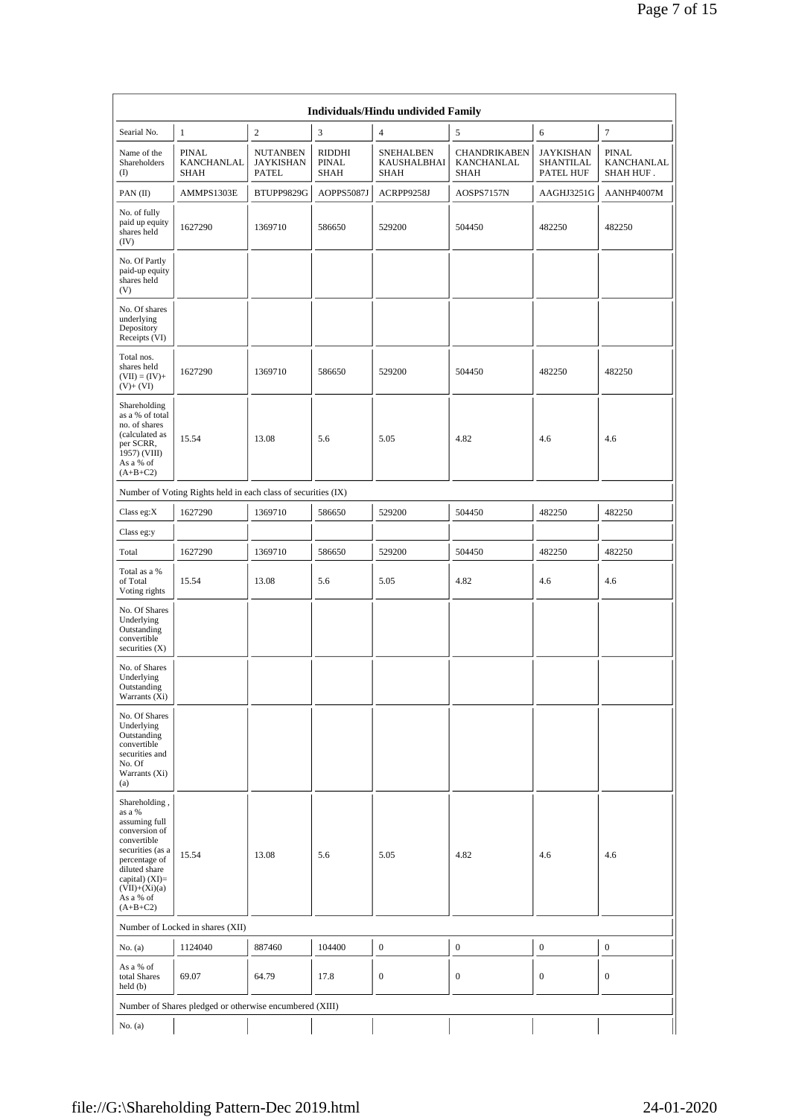|                                                                                                                                                                                                |                                                               |                                              |                                | Individuals/Hindu undivided Family      |                                                  |                                                   |                                         |
|------------------------------------------------------------------------------------------------------------------------------------------------------------------------------------------------|---------------------------------------------------------------|----------------------------------------------|--------------------------------|-----------------------------------------|--------------------------------------------------|---------------------------------------------------|-----------------------------------------|
| Searial No.                                                                                                                                                                                    | 1                                                             | $\overline{c}$                               | 3                              | $\overline{4}$                          | 5                                                | 6                                                 | $\boldsymbol{7}$                        |
| Name of the<br>Shareholders<br>(                                                                                                                                                               | <b>PINAL</b><br>KANCHANLAL<br><b>SHAH</b>                     | <b>NUTANBEN</b><br><b>JAYKISHAN</b><br>PATEL | RIDDHI<br><b>PINAL</b><br>SHAH | <b>SNEHALBEN</b><br>KAUSHALBHAI<br>SHAH | <b>CHANDRIKABEN</b><br>KANCHANLAL<br><b>SHAH</b> | <b>JAYKISHAN</b><br><b>SHANTILAL</b><br>PATEL HUF | <b>PINAL</b><br>KANCHANLAL<br>SHAH HUF. |
| PAN(II)                                                                                                                                                                                        | AMMPS1303E                                                    | BTUPP9829G                                   | AOPPS5087J                     | ACRPP9258J                              | AOSPS7157N                                       | AAGHJ3251G                                        | AANHP4007M                              |
| No. of fully<br>paid up equity<br>shares held<br>(IV)                                                                                                                                          | 1627290                                                       | 1369710                                      | 586650                         | 529200                                  | 504450                                           | 482250                                            | 482250                                  |
| No. Of Partly<br>paid-up equity<br>shares held<br>(V)                                                                                                                                          |                                                               |                                              |                                |                                         |                                                  |                                                   |                                         |
| No. Of shares<br>underlying<br>Depository<br>Receipts (VI)                                                                                                                                     |                                                               |                                              |                                |                                         |                                                  |                                                   |                                         |
| Total nos.<br>shares held<br>$(VII) = (IV) +$<br>$(V)$ + $(VI)$                                                                                                                                | 1627290                                                       | 1369710                                      | 586650                         | 529200                                  | 504450                                           | 482250                                            | 482250                                  |
| Shareholding<br>as a % of total<br>no. of shares<br>(calculated as<br>per SCRR,<br>1957) (VIII)<br>As a % of<br>$(A+B+C2)$                                                                     | 15.54                                                         | 13.08                                        | 5.6                            | 5.05                                    | 4.82                                             | 4.6                                               | 4.6                                     |
|                                                                                                                                                                                                | Number of Voting Rights held in each class of securities (IX) |                                              |                                |                                         |                                                  |                                                   |                                         |
| Class eg:X                                                                                                                                                                                     | 1627290                                                       | 1369710                                      | 586650                         | 529200                                  | 504450                                           | 482250                                            | 482250                                  |
| Class eg:y                                                                                                                                                                                     |                                                               |                                              |                                |                                         |                                                  |                                                   |                                         |
| Total                                                                                                                                                                                          | 1627290                                                       | 1369710                                      | 586650                         | 529200                                  | 504450                                           | 482250                                            | 482250                                  |
| Total as a %<br>of Total<br>Voting rights                                                                                                                                                      | 15.54                                                         | 13.08                                        | 5.6                            | 5.05                                    | 4.82                                             | 4.6                                               | 4.6                                     |
| No. Of Shares<br>Underlying<br>Outstanding<br>convertible<br>securities $(X)$                                                                                                                  |                                                               |                                              |                                |                                         |                                                  |                                                   |                                         |
| No. of Shares<br>Underlying<br>Outstanding<br>Warrants (Xi)                                                                                                                                    |                                                               |                                              |                                |                                         |                                                  |                                                   |                                         |
| No. Of Shares<br>Underlying<br>Outstanding<br>convertible<br>securities and<br>No. Of<br>Warrants (Xi)<br>(a)                                                                                  |                                                               |                                              |                                |                                         |                                                  |                                                   |                                         |
| Shareholding,<br>as a %<br>assuming full<br>conversion of<br>convertible<br>securities (as a<br>percentage of<br>diluted share<br>capital) (XI)=<br>$(VII)+(Xi)(a)$<br>As a % of<br>$(A+B+C2)$ | 15.54                                                         | 13.08                                        | 5.6                            | 5.05                                    | 4.82                                             | 4.6                                               | 4.6                                     |
|                                                                                                                                                                                                | Number of Locked in shares (XII)                              |                                              |                                |                                         |                                                  |                                                   |                                         |
| No. (a)                                                                                                                                                                                        | 1124040                                                       | 887460                                       | 104400                         | $\boldsymbol{0}$                        | $\boldsymbol{0}$                                 | $\boldsymbol{0}$                                  | $\boldsymbol{0}$                        |
| As a % of<br>total Shares<br>$\text{held}(\text{b})$                                                                                                                                           | 69.07                                                         | 64.79                                        | 17.8                           | $\mathbf{0}$                            | $\boldsymbol{0}$                                 | $\mathbf{0}$                                      | $\boldsymbol{0}$                        |
|                                                                                                                                                                                                | Number of Shares pledged or otherwise encumbered (XIII)       |                                              |                                |                                         |                                                  |                                                   |                                         |
| No. (a)                                                                                                                                                                                        |                                                               |                                              |                                |                                         |                                                  |                                                   |                                         |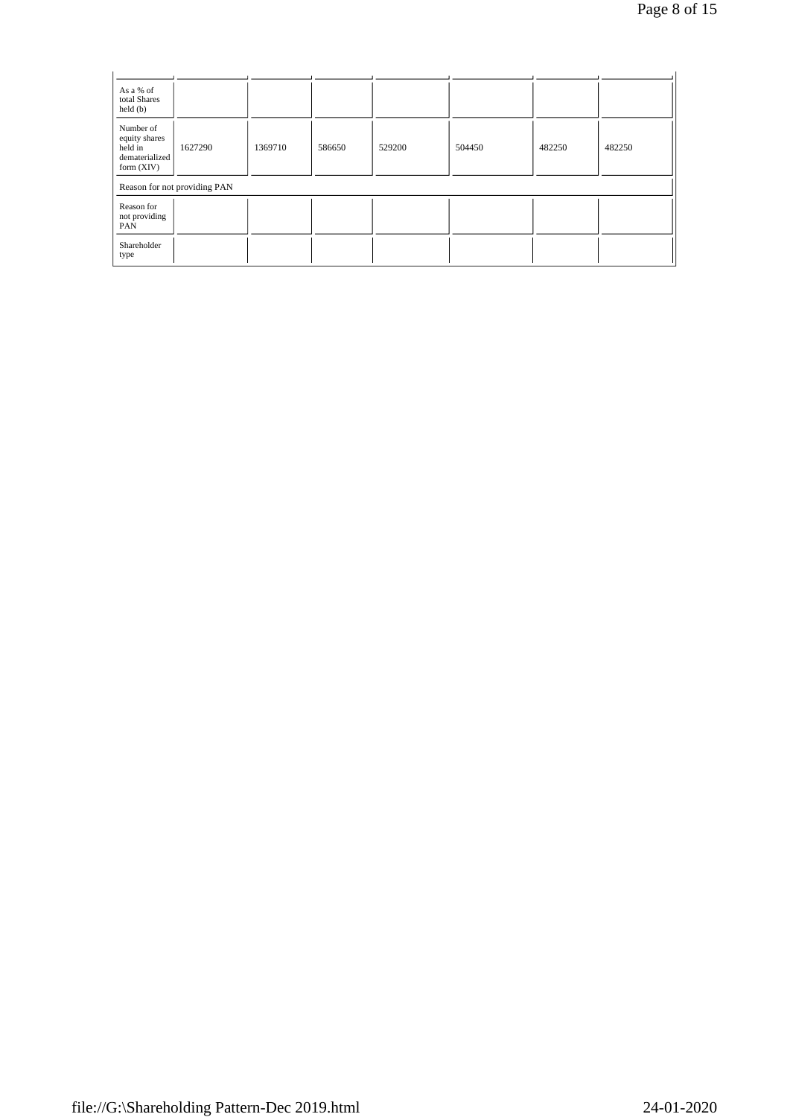| As a % of<br>total Shares<br>$\text{held}(\text{b})$                    |                              |         |        |        |        |        |        |
|-------------------------------------------------------------------------|------------------------------|---------|--------|--------|--------|--------|--------|
| Number of<br>equity shares<br>held in<br>dematerialized<br>form $(XIV)$ | 1627290                      | 1369710 | 586650 | 529200 | 504450 | 482250 | 482250 |
|                                                                         | Reason for not providing PAN |         |        |        |        |        |        |
| Reason for<br>not providing<br>PAN                                      |                              |         |        |        |        |        |        |
| Shareholder<br>type                                                     |                              |         |        |        |        |        |        |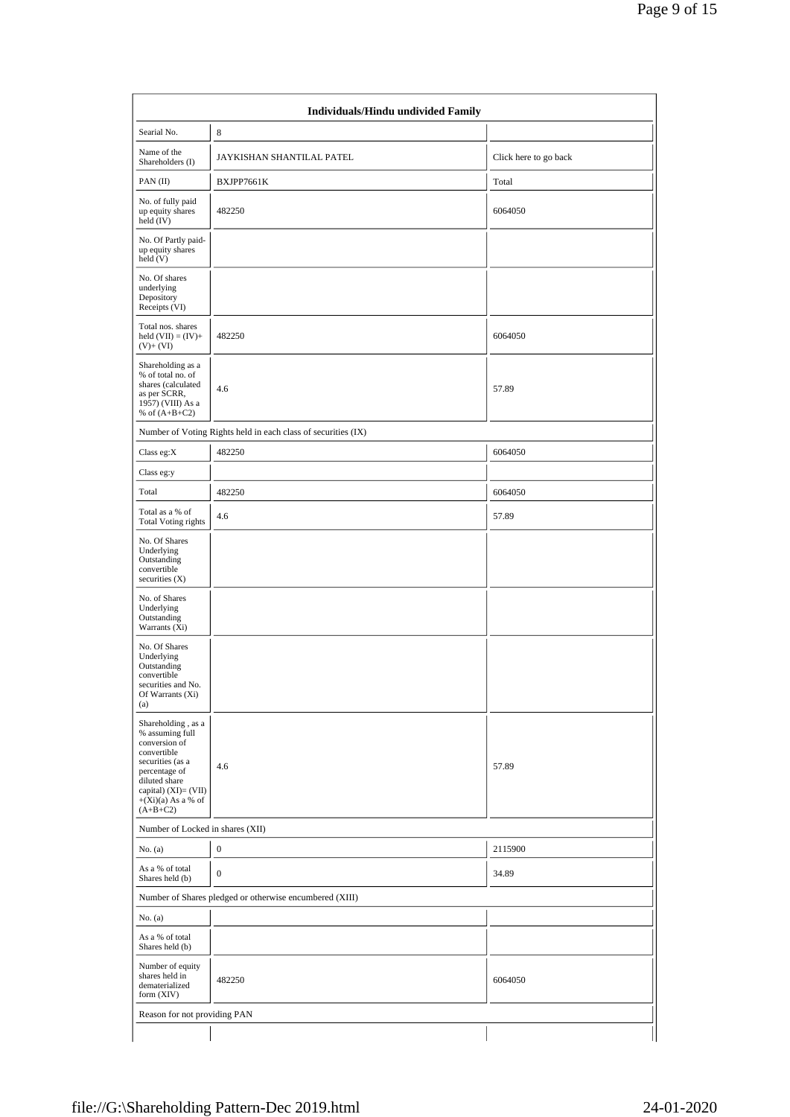| Searial No.                                                                                                                                                                               | 8                                                             |                       |
|-------------------------------------------------------------------------------------------------------------------------------------------------------------------------------------------|---------------------------------------------------------------|-----------------------|
| Name of the<br>Shareholders (I)                                                                                                                                                           | JAYKISHAN SHANTILAL PATEL                                     | Click here to go back |
| PAN $(II)$                                                                                                                                                                                | BXJPP7661K                                                    | Total                 |
| No. of fully paid<br>up equity shares<br>$\text{held}(\text{IV})$                                                                                                                         | 482250                                                        | 6064050               |
| No. Of Partly paid-<br>up equity shares<br>held(V)                                                                                                                                        |                                                               |                       |
| No. Of shares<br>underlying<br>Depository<br>Receipts (VI)                                                                                                                                |                                                               |                       |
| Total nos. shares<br>held $(VII) = (IV) +$<br>$(V)+(VI)$                                                                                                                                  | 482250                                                        | 6064050               |
| Shareholding as a<br>% of total no. of<br>shares (calculated<br>as per SCRR,<br>1957) (VIII) As a<br>% of $(A+B+C2)$                                                                      | 4.6                                                           | 57.89                 |
|                                                                                                                                                                                           | Number of Voting Rights held in each class of securities (IX) |                       |
| Class eg: $\rm X$                                                                                                                                                                         | 482250                                                        | 6064050               |
| Class eg:y                                                                                                                                                                                |                                                               |                       |
| Total                                                                                                                                                                                     | 482250                                                        | 6064050               |
| Total as a % of<br><b>Total Voting rights</b>                                                                                                                                             | 4.6                                                           | 57.89                 |
| No. Of Shares<br>Underlying<br>Outstanding<br>convertible<br>securities $(X)$                                                                                                             |                                                               |                       |
| No. of Shares<br>Underlying<br>Outstanding<br>Warrants $(X_i)$                                                                                                                            |                                                               |                       |
| No. Of Shares<br>Underlying<br>Outstanding<br>convertible<br>securities and No.<br>Of Warrants (Xi)<br>(a)                                                                                |                                                               |                       |
| Shareholding, as a<br>% assuming full<br>conversion of<br>convertible<br>securities (as a<br>percentage of<br>diluted share<br>capital) (XI)= (VII)<br>$+(Xi)(a)$ As a % of<br>$(A+B+C2)$ | 4.6                                                           | 57.89                 |
| Number of Locked in shares (XII)                                                                                                                                                          |                                                               |                       |
| No. (a)                                                                                                                                                                                   | $\boldsymbol{0}$                                              | 2115900               |
| As a % of total<br>Shares held (b)                                                                                                                                                        | $\overline{0}$                                                | 34.89                 |
|                                                                                                                                                                                           | Number of Shares pledged or otherwise encumbered (XIII)       |                       |
| No. (a)                                                                                                                                                                                   |                                                               |                       |
| As a % of total<br>Shares held (b)                                                                                                                                                        |                                                               |                       |
| Number of equity<br>shares held in<br>dematerialized<br>form $(XIV)$                                                                                                                      | 482250                                                        | 6064050               |
| Reason for not providing PAN                                                                                                                                                              |                                                               |                       |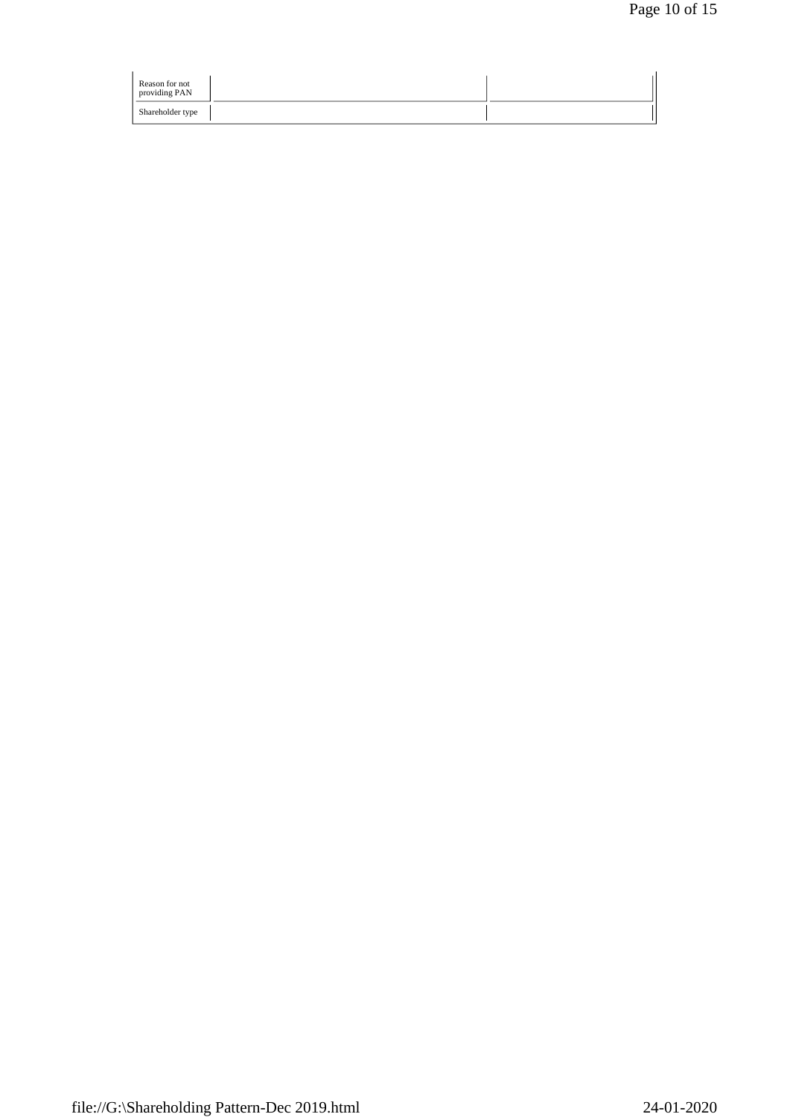| Reason for not<br>providing PAN |  |
|---------------------------------|--|
| Shareholder type                |  |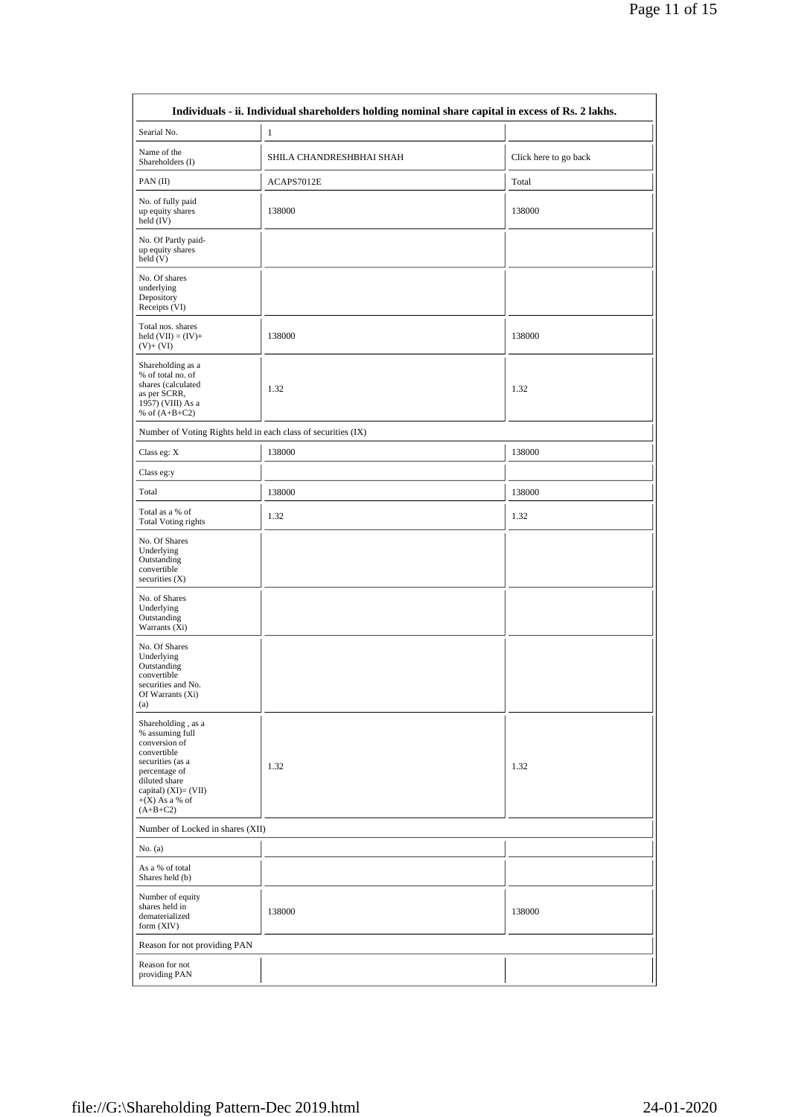|                                                                                                                                                                                        | Individuals - ii. Individual shareholders holding nominal share capital in excess of Rs. 2 lakhs. |                       |
|----------------------------------------------------------------------------------------------------------------------------------------------------------------------------------------|---------------------------------------------------------------------------------------------------|-----------------------|
| Searial No.                                                                                                                                                                            | $\mathbf{1}$                                                                                      |                       |
| Name of the<br>Shareholders (I)                                                                                                                                                        | SHILA CHANDRESHBHAI SHAH                                                                          | Click here to go back |
| PAN (II)                                                                                                                                                                               | ACAPS7012E                                                                                        | Total                 |
| No. of fully paid<br>up equity shares<br>held (IV)                                                                                                                                     | 138000                                                                                            | 138000                |
| No. Of Partly paid-<br>up equity shares<br>held (V)                                                                                                                                    |                                                                                                   |                       |
| No. Of shares<br>underlying<br>Depository<br>Receipts (VI)                                                                                                                             |                                                                                                   |                       |
| Total nos. shares<br>held $(VII) = (IV) +$<br>$(V)+(VI)$                                                                                                                               | 138000                                                                                            | 138000                |
| Shareholding as a<br>% of total no. of<br>shares (calculated<br>as per SCRR,<br>1957) (VIII) As a<br>% of $(A+B+C2)$                                                                   | 1.32                                                                                              | 1.32                  |
| Number of Voting Rights held in each class of securities (IX)                                                                                                                          |                                                                                                   |                       |
| Class eg: X                                                                                                                                                                            | 138000                                                                                            | 138000                |
| Class eg:y                                                                                                                                                                             |                                                                                                   |                       |
| Total                                                                                                                                                                                  | 138000                                                                                            | 138000                |
| Total as a % of<br><b>Total Voting rights</b>                                                                                                                                          | 1.32                                                                                              | 1.32                  |
| No. Of Shares<br>Underlying<br>Outstanding<br>convertible<br>securities $(X)$                                                                                                          |                                                                                                   |                       |
| No. of Shares<br>Underlying<br>Outstanding<br>Warrants (Xi)                                                                                                                            |                                                                                                   |                       |
| No. Of Shares<br>Underlying<br>Outstanding<br>convertible<br>securities and No.<br>Of Warrants (Xi)<br>(a)                                                                             |                                                                                                   |                       |
| Shareholding, as a<br>% assuming full<br>conversion of<br>convertible<br>securities (as a<br>percentage of<br>diluted share<br>capital) $(XI)=(VII)$<br>$+(X)$ As a % of<br>$(A+B+C2)$ | 1.32                                                                                              | 1.32                  |
| Number of Locked in shares (XII)                                                                                                                                                       |                                                                                                   |                       |
| No. (a)                                                                                                                                                                                |                                                                                                   |                       |
| As a % of total<br>Shares held (b)                                                                                                                                                     |                                                                                                   |                       |
| Number of equity<br>shares held in<br>dematerialized<br>form (XIV)                                                                                                                     | 138000                                                                                            | 138000                |
| Reason for not providing PAN                                                                                                                                                           |                                                                                                   |                       |
| Reason for not<br>providing PAN                                                                                                                                                        |                                                                                                   |                       |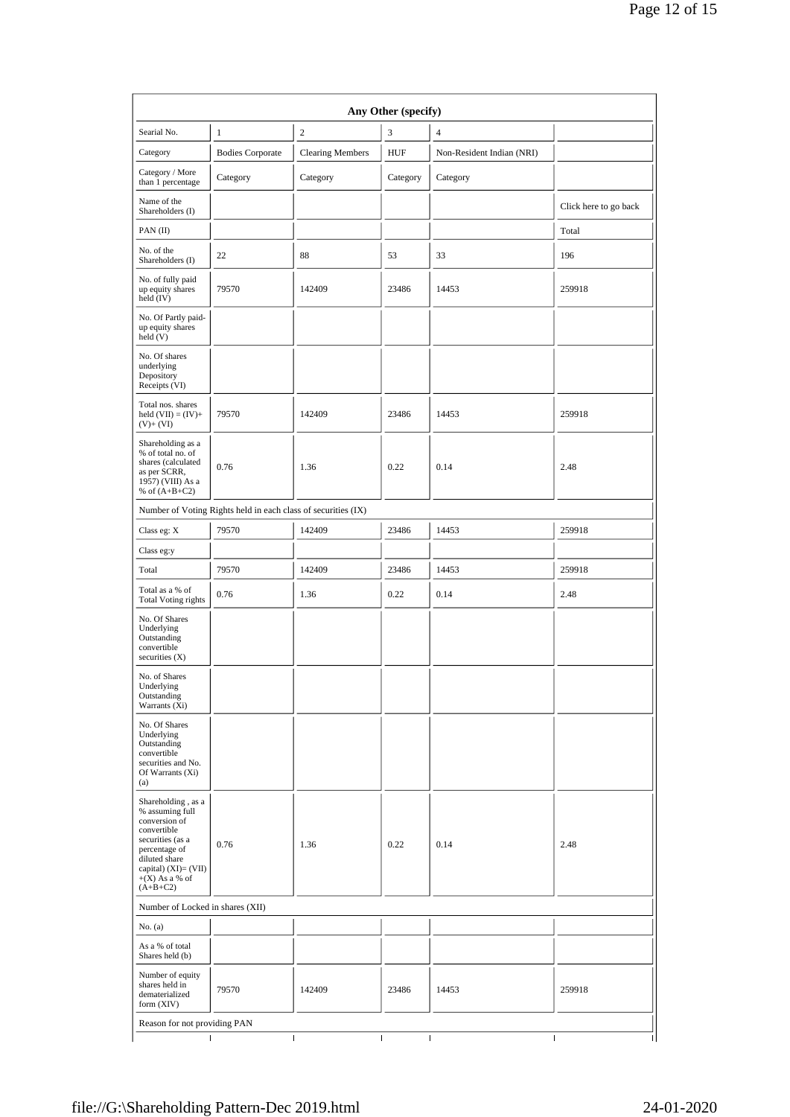| Searial No.                                                                                                                                                                              | $\mathbf{1}$                                                  | $\overline{c}$          | 3          | $\overline{4}$            |                       |
|------------------------------------------------------------------------------------------------------------------------------------------------------------------------------------------|---------------------------------------------------------------|-------------------------|------------|---------------------------|-----------------------|
| Category                                                                                                                                                                                 | <b>Bodies Corporate</b>                                       | <b>Clearing Members</b> | <b>HUF</b> | Non-Resident Indian (NRI) |                       |
| Category / More<br>than 1 percentage                                                                                                                                                     | Category                                                      | Category                | Category   | Category                  |                       |
| Name of the<br>Shareholders (I)                                                                                                                                                          |                                                               |                         |            |                           | Click here to go back |
| PAN $(II)$                                                                                                                                                                               |                                                               |                         |            |                           | Total                 |
| No. of the<br>Shareholders (I)                                                                                                                                                           | 22                                                            | 88                      | 53         | 33                        | 196                   |
| No. of fully paid<br>up equity shares<br>held (IV)                                                                                                                                       | 79570                                                         | 142409                  | 23486      | 14453                     | 259918                |
| No. Of Partly paid-<br>up equity shares<br>held (V)                                                                                                                                      |                                                               |                         |            |                           |                       |
| No. Of shares<br>underlying<br>Depository<br>Receipts (VI)                                                                                                                               |                                                               |                         |            |                           |                       |
| Total nos. shares<br>held $(VII) = (IV) +$<br>$(V)+(VI)$                                                                                                                                 | 79570                                                         | 142409                  | 23486      | 14453                     | 259918                |
| Shareholding as a<br>% of total no. of<br>shares (calculated<br>as per SCRR,<br>1957) (VIII) As a<br>% of $(A+B+C2)$                                                                     | 0.76                                                          | 1.36                    | 0.22       | 0.14                      | 2.48                  |
|                                                                                                                                                                                          | Number of Voting Rights held in each class of securities (IX) |                         |            |                           |                       |
| Class eg: X                                                                                                                                                                              | 79570                                                         | 142409                  | 23486      | 14453                     | 259918                |
| Class eg:y                                                                                                                                                                               |                                                               |                         |            |                           |                       |
| Total                                                                                                                                                                                    | 79570                                                         | 142409                  | 23486      | 14453                     | 259918                |
| Total as a % of<br><b>Total Voting rights</b>                                                                                                                                            | 0.76                                                          | 1.36                    | 0.22       | 0.14                      | 2.48                  |
| No. Of Shares<br>Underlying<br>Outstanding<br>convertible<br>securities $(X)$                                                                                                            |                                                               |                         |            |                           |                       |
| No. of Shares<br>Underlying<br>Outstanding<br>Warrants (Xi)                                                                                                                              |                                                               |                         |            |                           |                       |
| No. Of Shares<br>Underlying<br>Outstanding<br>convertible<br>securities and No.<br>Of Warrants (Xi)<br>(a)                                                                               |                                                               |                         |            |                           |                       |
| Shareholding, as a<br>% assuming full<br>conversion of<br>convertible<br>securities (as a<br>percentage of<br>diluted share<br>capital) $(XI) = (VII)$<br>$+(X)$ As a % of<br>$(A+B+C2)$ | 0.76                                                          | 1.36                    | 0.22       | 0.14                      | 2.48                  |
| Number of Locked in shares (XII)                                                                                                                                                         |                                                               |                         |            |                           |                       |
| No. (a)                                                                                                                                                                                  |                                                               |                         |            |                           |                       |
| As a % of total<br>Shares held (b)                                                                                                                                                       |                                                               |                         |            |                           |                       |
| Number of equity<br>shares held in<br>dematerialized<br>form $(XIV)$                                                                                                                     | 79570                                                         | 142409                  | 23486      | 14453                     | 259918                |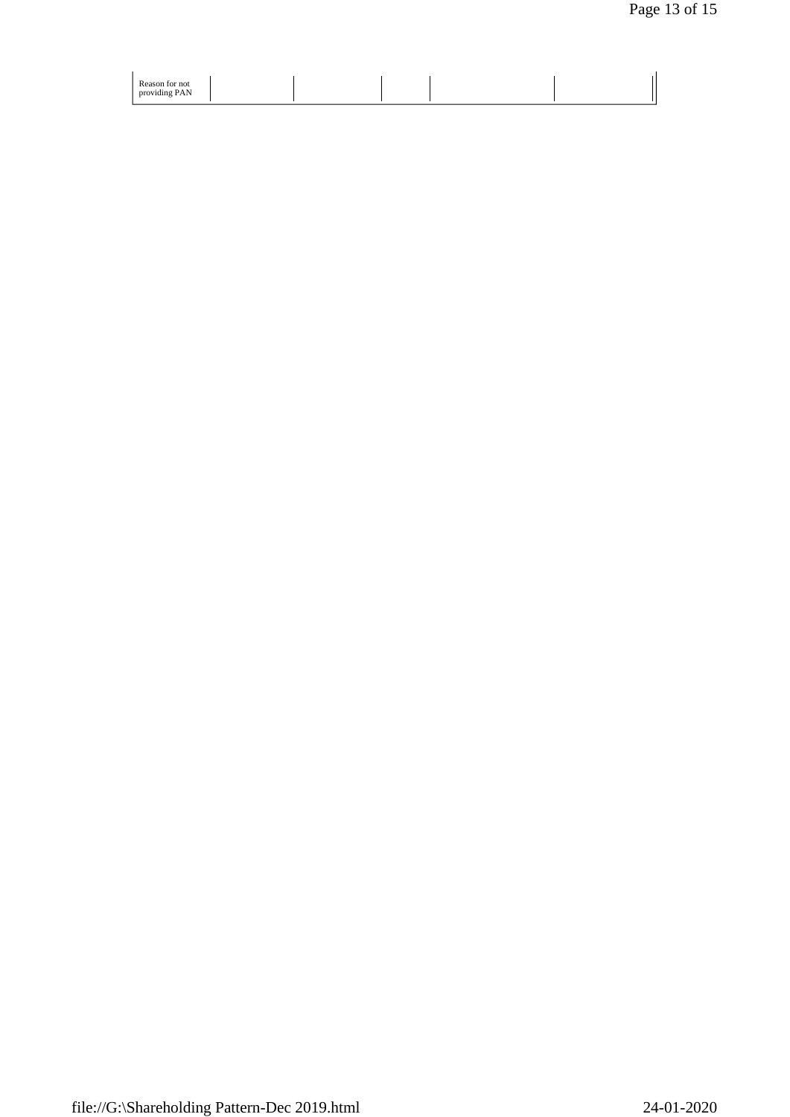| Reason for not<br>providing PAN |  |  |  |
|---------------------------------|--|--|--|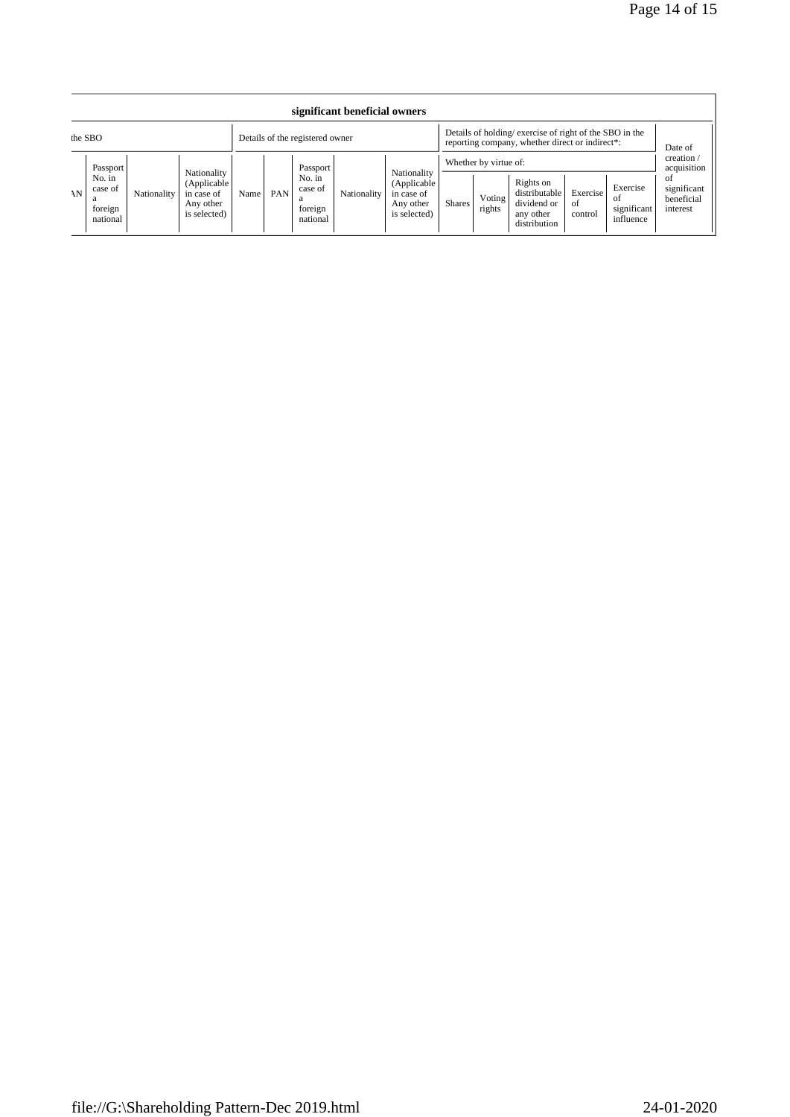|         | significant beneficial owners                        |             |                                                                       |                                 |     |                                                      |             |                                                                                                           |               |                                           |                                                                        |                           |                                             |                                                                                    |
|---------|------------------------------------------------------|-------------|-----------------------------------------------------------------------|---------------------------------|-----|------------------------------------------------------|-------------|-----------------------------------------------------------------------------------------------------------|---------------|-------------------------------------------|------------------------------------------------------------------------|---------------------------|---------------------------------------------|------------------------------------------------------------------------------------|
| the SBO |                                                      |             |                                                                       | Details of the registered owner |     |                                                      |             | Details of holding/exercise of right of the SBO in the<br>reporting company, whether direct or indirect*: |               |                                           |                                                                        | Date of                   |                                             |                                                                                    |
| AN      | Passport<br>No. in<br>case of<br>foreign<br>national | Nationality | Nationality<br>(Applicable<br>in case of<br>Any other<br>is selected) | Name                            | PAN | Passport<br>No. in<br>case of<br>foreign<br>national | Nationality | Nationality<br>(Applicable<br>in case of<br>Any other<br>is selected)                                     | <b>Shares</b> | Whether by virtue of:<br>Voting<br>rights | Rights on<br>distributable<br>dividend or<br>any other<br>distribution | Exercise<br>of<br>control | Exercise<br>-ot<br>significant<br>influence | $c$ reation $\land$<br>acquisition<br>-of<br>significant<br>beneficial<br>interest |